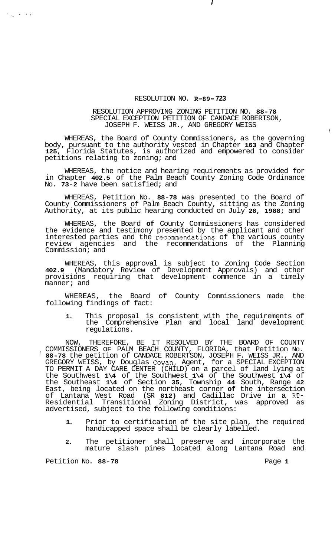## RESOLUTION NO. **R-89- 723**

## RESOLUTION APPROVING ZONING PETITION NO. **88-78**  SPECIAL EXCEPTION PETITION OF CANDACE ROBERTSON, JOSEPH F. WEISS JR., AND GREGORY WEISS

WHEREAS, the Board of County Commissioners, as the governing body, pursuant to the authority vested in Chapter **163** and Chapter **125,** Florida Statutes, is authorized and empowered to consider petitions relating to zoning; and

WHEREAS, the notice and hearing requirements as provided for in Chapter **402.5** of the Palm Beach County Zoning Code Ordinance No. **73-2** have been satisfied; and

WHEREAS, Petition No. **88-78** was presented to the Board of County Commissioners of Palm Beach County, sitting as the Zoning Authority, at its public hearing conducted on July **28, 1988;** and

WHEREAS, the Board **of** County Commissioners has considered the evidence and testimony presented by the applicant and other interested parties and the recommendations of the various county review agencies and the recommendations of the Planning Commission; and

WHEREAS, this approval is subject to Zoning Code Section **402.9** (Mandatory Review of Development Approvals) and other provisions requiring that development commence in a timely manner; and

WHEREAS, the Board of County Commissioners made the following findings of fact:

**1.** This proposal is consistent with the requirements of the Comprehensive Plan and local land development regulations.

NOW, THEREFORE, BE IT RESOLVED BY THE BOARD OF COUNTY COMMISSIONERS OF PALM BEACH COUNTY, FLORIDA, that Petition No. **88-78** the petition of CANDACE ROBERTSON, JOSEPH F. WEISS JR., AND I GREGORY WEISS, by Douglas Cowan, Agent, for a SPECIAL EXCEPTION TO PERMIT A DAY CARE CENTER (CHILD) on a parcel of land lying at the Southwest **1\4** of the Southwest **1\4** of the Southwest **1\4** of the Southeast **1\4** of Section **35,** Township **44** South, Range **42**  East, being located on the northeast corner **of** the intersection of Lantana West Road (SR **812)** and Cadillac Drive in a RT-Residential Transitional Zoning District, was approved as advertised, subject to the following conditions:

- **1.** Prior to certification of the site plan, the required handicapped space shall be clearly labelled.
- **2.** The petitioner shall preserve and incorporate the mature slash pines located along Lantana Road and

Petition No. 88-78 **Page 1 Page 1** 

 $\mathcal{F}_{\mathcal{A}}(\mathcal{A})=\mathcal{F}_{\mathcal{A}}(\mathcal{A})$ 

i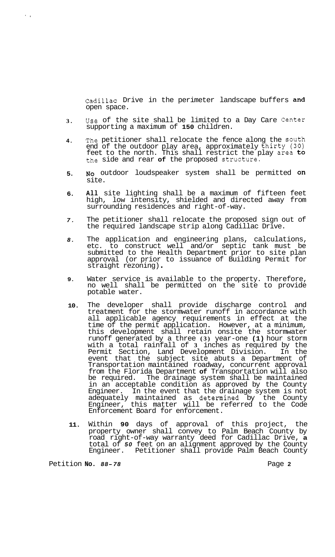Cadillac Drive in the perimeter landscape buffers and open space.

- **3.**  Use of the site shall be limited to a Day Care Center supporting a maximum of **150** children.
- **4.**  The petitioner shall relocate the fence along the south end of the outdoor play area, approximately thirty **(30)**  feet to the north. This shall restrict the play area to the side and rear **of** the proposed Structure.
- **5. NO** outdoor loudspeaker system shall be permitted on site.
- **6. All** site lighting shall be a maximum of fifteen feet high, low intensity, shielded and directed away from surrounding residences and right-of-way.
- *7.*  The petitioner shall relocate the proposed sign out of the required landscape strip along Cadillac Drive.
- *8.*  The application and engineering plans, calculations, etc. to construct well and/or septic tank must be submitted to the Health Department prior to site plan approval (or prior to issuance of Building Permit for straight rezoning) .
- **9.**  Water service is available to the property. Therefore, no well shall be permitted on the site to provide potable water.
- **10.**  The developer shall provide discharge control and treatment for the stormwater runoff in accordance with all applicable agency requirements in effect at the time of the permit application. However, at a minimum, this development shall retain onsite the stormwater runoff generated by a three **(3)** year-one **(1)** hour storm with a total rainfall of **3** inches as required by the Permit Section, Land Development Division. In the event that the subject site abuts a Department of Transportation maintained roadway, concurrent approval from the Florida Department **of** Transportation will also be required. The drainage system shall be maintained in an acceptable condition as approved by the County Engineer. In the event that the drainage system is not adequately maintained as determined by the County Engineer, this matter will be referred to the Code Enforcement Board for enforcement.
- **11.**  Within **90** days of approval of this project, the property owner shall convey to Palm Beach County by road right-of-way warranty deed for Cadillac Drive, **a**  total of *50* feet on an alignment approved by the County Engineer. Petitioner shall provide Palm Beach County

Petition **No. 88-78 Page 2 Page 2** 

 $\sim 10$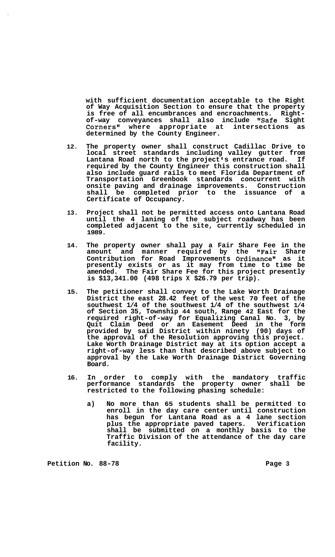**with sufficient documentation acceptable to the Right of Way Acquisition Section to ensure that the property is free of all encumbrances and encroachments. Right- of-way conveyances shall also include "Safe Sight Corners" where appropriate at intersections as determined by the County Engineer.** 

- **12. The property owner shall construct Cadillac Drive to local street standards including valley gutter from**  Lantana Road north to the project's entrance road. If **required by the County Engineer this construction shall also include guard rails to meet Florida Department of Transportation Greenbook standards concurrent with onsite paving and drainage improvements. Construction shall be completed prior to the issuance of a Certificate of Occupancy.**
- **13. Project shall not be permitted access onto Lantana Road until the 4 laning of the subject roadway has been completed adjacent to the site, currently scheduled in 1989.**
- **14. The property owner shall pay a Fair Share Fee in the amount and manner required by the "Fair Share Contribution for Road Improvements Ordinancell as it presently exists or as it may from time to time be amended. The Fair Share Fee for this project presently is \$13,341.00 (498 trips X \$26.79 per trip).**
- **15. The petitioner shall convey to the Lake Worth Drainage District the east 28.42 feet of the west 70 feet of the southwest 1/4 of the southwest 1/4 of the southwest 1/4 of Section 35, Township 44 south, Range 42 East for the required right-of-way for Equalizing Canal No. 3, by Quit Claim Deed or an Easement Deed in the form provided by said District within ninety (90) days of the approval of the Resolution approving this project. Lake Worth Drainage District may at its option accept a right-of-way less than that described above subject to approval by the Lake Worth Drainage District Governing Board.**
- **16. In order to comply with the mandatory traffic performance standards the property owner shall be restricted to the following phasing schedule:** 
	- **a) No more than 65 students shall be permitted to enroll in the day care center until construction has begun for Lantana Road as a 4 lane section plus the appropriate paved tapers. Verification shall be submitted on a monthly basis to the Traffic Division of the attendance of the day care facility.**

Petition No. 88-78 **Page 3 Page 3**